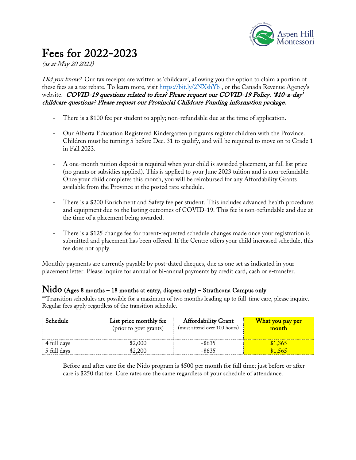

# Fees for 2022-2023

(as at May 20 2022)

Did you know? Our tax receipts are written as 'childcare', allowing you the option to claim a portion of these fees as a tax rebate. To learn more, visit https://bit.ly/2NXshYb , or the Canada Revenue Agency's website. COVID-19 questions related to fees? Please request our COVID-19 Policy. '\$10-a-day' childcare questions? Please request our Provincial Childcare Funding information package.

- *-* There is a \$100 fee per student to apply; non-refundable due at the time of application.
- *-* Our Alberta Education Registered Kindergarten programs register children with the Province. Children must be turning 5 before Dec. 31 to qualify, and will be required to move on to Grade 1 in Fall 2023.
- *-* A one-month tuition deposit is required when your child is awarded placement, at full list price (no grants or subsidies applied). This is applied to your June 2023 tuition and is non-refundable. Once your child completes this month, you will be reimbursed for any Affordability Grants available from the Province at the posted rate schedule.
- *-* There is a \$200 Enrichment and Safety fee per student. This includes advanced health procedures and equipment due to the lasting outcomes of COVID-19. This fee is non-refundable and due at the time of a placement being awarded.
- *-* There is a \$125 change fee for parent-requested schedule changes made once your registration is submitted and placement has been offered. If the Centre offers your child increased schedule, this fee does not apply.

Monthly payments are currently payable by post-dated cheques, due as one set as indicated in your placement letter. Please inquire for annual or bi-annual payments by credit card, cash or e-transfer.

#### Nido (Ages 8 months – 18 months at entry, diapers only) – Strathcona Campus only

\*\*Transition schedules are possible for a maximum of two months leading up to full-time care, please inquire. Regular fees apply regardless of the transition schedule.

| Schedule    | List price monthly fee<br>(prior to govt grants) | <b>Affordability Grant</b><br>(must attend over 100 hours) | What you pay per<br>month |
|-------------|--------------------------------------------------|------------------------------------------------------------|---------------------------|
| 4 full days | \$2,000                                          | -\$635                                                     | \$1,365                   |
| 5 full days | \$2.200                                          | -\$635                                                     | \$1.565                   |

Before and after care for the Nido program is \$500 per month for full time; just before or after care is \$250 flat fee. Care rates are the same regardless of your schedule of attendance.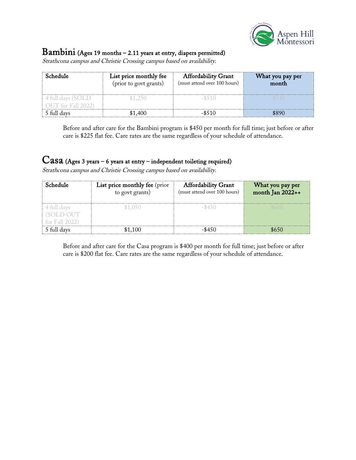

### Bambini (Ages 19 months – 2.11 years at entry, diapers permitted)

Strathcona campus and Christie Crossing campus based on availability.

| Schedule                                | List price monthly fee<br>(prior to govt grants) | <b>Affordability Grant</b><br>(must attend over 100 hours) | What you pay per<br>month |
|-----------------------------------------|--------------------------------------------------|------------------------------------------------------------|---------------------------|
| 4 full days (SOLD<br>OUT for Fall 2022) | \$1.250                                          | $-$ \$510                                                  | \$740                     |
| 5 full davs                             | \$1,400                                          | $-$ \$510                                                  | \$890                     |

Before and after care for the Bambini program is \$450 per month for full time; just before or after care is \$225 flat fee. Care rates are the same regardless of your schedule of attendance.

## Casa (Ages 3 years – 6 years at entry – independent toileting required)

Strathcona campus and Christie Crossing campus based on availability.

| Schedule                                   | List price monthly fee (prior<br>to govt grants) | <b>Affordability Grant</b><br>(must attend over 100 hours) | What you pay per<br>month Jan 2022++ |
|--------------------------------------------|--------------------------------------------------|------------------------------------------------------------|--------------------------------------|
| 4 full days<br>(SOLD OUT<br>for Fall 2022) | \$1,050                                          | $-$ \$450                                                  |                                      |
| 5 full days                                | \$1,100                                          | $-$ \$450                                                  | \$650                                |

Before and after care for the Casa program is \$400 per month for full time; just before or after care is \$200 flat fee. Care rates are the same regardless of your schedule of attendance.